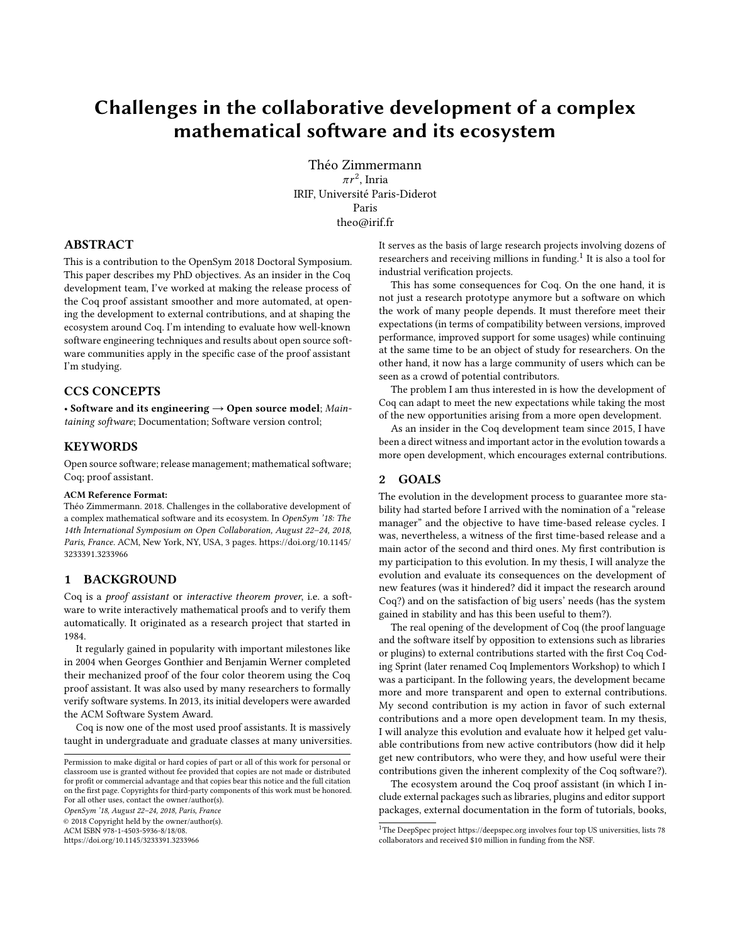# Challenges in the collaborative development of a complex mathematical software and its ecosystem

Théo Zimmermann  $\pi r^2$ , Inria IRIF, Université Paris-Diderot Paris theo@irif.fr

# ABSTRACT

This is a contribution to the OpenSym 2018 Doctoral Symposium. This paper describes my PhD objectives. As an insider in the Coq development team, I've worked at making the release process of the Coq proof assistant smoother and more automated, at opening the development to external contributions, and at shaping the ecosystem around Coq. I'm intending to evaluate how well-known software engineering techniques and results about open source software communities apply in the specific case of the proof assistant I'm studying.

# CCS CONCEPTS

• Software and its engineering  $\rightarrow$  Open source model; Maintaining software; Documentation; Software version control;

### **KEYWORDS**

Open source software; release management; mathematical software; Coq; proof assistant.

#### ACM Reference Format:

Théo Zimmermann. 2018. Challenges in the collaborative development of a complex mathematical software and its ecosystem. In OpenSym '18: The 14th International Symposium on Open Collaboration, August 22–24, 2018, Paris, France. ACM, New York, NY, USA, [3](#page-2-0) pages. [https://doi.org/10.1145/](https://doi.org/10.1145/3233391.3233966) [3233391.3233966](https://doi.org/10.1145/3233391.3233966)

#### 1 BACKGROUND

Coq is a proof assistant or interactive theorem prover, i.e. a software to write interactively mathematical proofs and to verify them automatically. It originated as a research project that started in 1984.

It regularly gained in popularity with important milestones like in 2004 when Georges Gonthier and Benjamin Werner completed their mechanized proof of the four color theorem using the Coq proof assistant. It was also used by many researchers to formally verify software systems. In 2013, its initial developers were awarded the ACM Software System Award.

Coq is now one of the most used proof assistants. It is massively taught in undergraduate and graduate classes at many universities.

OpenSym '18, August 22–24, 2018, Paris, France

© 2018 Copyright held by the owner/author(s).

ACM ISBN 978-1-4503-5936-8/18/08.

<https://doi.org/10.1145/3233391.3233966>

It serves as the basis of large research projects involving dozens of researchers and receiving millions in funding. $^1$  $^1$  It is also a tool for industrial verification projects.

This has some consequences for Coq. On the one hand, it is not just a research prototype anymore but a software on which the work of many people depends. It must therefore meet their expectations (in terms of compatibility between versions, improved performance, improved support for some usages) while continuing at the same time to be an object of study for researchers. On the other hand, it now has a large community of users which can be seen as a crowd of potential contributors.

The problem I am thus interested in is how the development of Coq can adapt to meet the new expectations while taking the most of the new opportunities arising from a more open development.

As an insider in the Coq development team since 2015, I have been a direct witness and important actor in the evolution towards a more open development, which encourages external contributions.

# 2 GOALS

The evolution in the development process to guarantee more stability had started before I arrived with the nomination of a "release manager" and the objective to have time-based release cycles. I was, nevertheless, a witness of the first time-based release and a main actor of the second and third ones. My first contribution is my participation to this evolution. In my thesis, I will analyze the evolution and evaluate its consequences on the development of new features (was it hindered? did it impact the research around Coq?) and on the satisfaction of big users' needs (has the system gained in stability and has this been useful to them?).

The real opening of the development of Coq (the proof language and the software itself by opposition to extensions such as libraries or plugins) to external contributions started with the first Coq Coding Sprint (later renamed Coq Implementors Workshop) to which I was a participant. In the following years, the development became more and more transparent and open to external contributions. My second contribution is my action in favor of such external contributions and a more open development team. In my thesis, I will analyze this evolution and evaluate how it helped get valuable contributions from new active contributors (how did it help get new contributors, who were they, and how useful were their contributions given the inherent complexity of the Coq software?).

The ecosystem around the Coq proof assistant (in which I include external packages such as libraries, plugins and editor support packages, external documentation in the form of tutorials, books,

Permission to make digital or hard copies of part or all of this work for personal or classroom use is granted without fee provided that copies are not made or distributed for profit or commercial advantage and that copies bear this notice and the full citation on the first page. Copyrights for third-party components of this work must be honored. For all other uses, contact the owner/author(s).

<span id="page-0-0"></span> $^1\mathrm{The}$  DeepSpec project<https://deepspec.org> involves four top US universities, lists 78 collaborators and received \$10 million in funding from the NSF.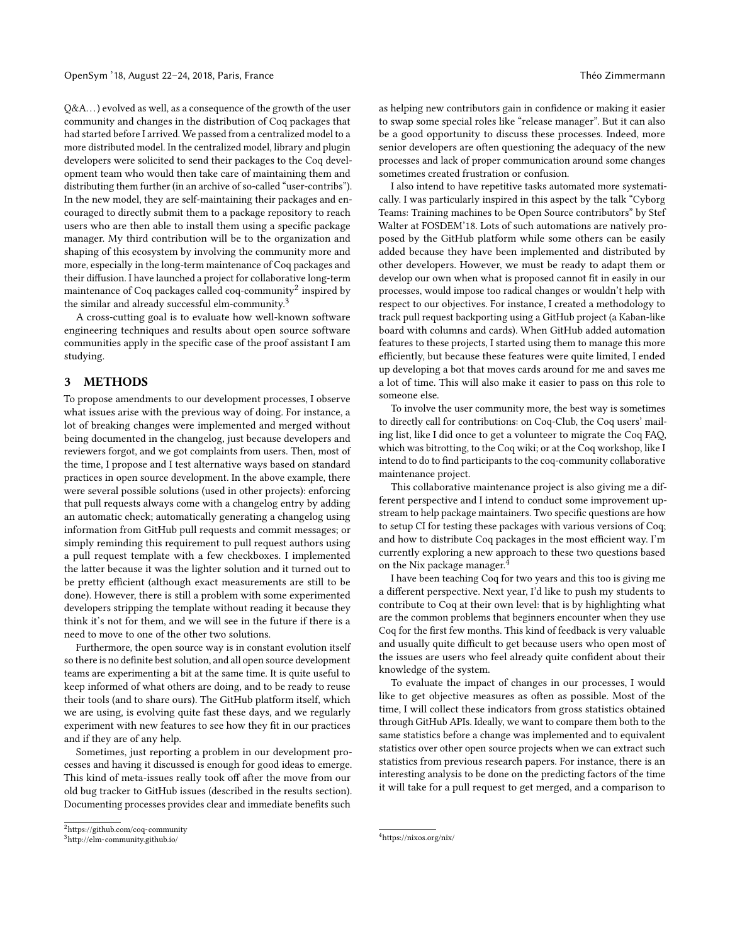Q&A. . .) evolved as well, as a consequence of the growth of the user community and changes in the distribution of Coq packages that had started before I arrived. We passed from a centralized model to a more distributed model. In the centralized model, library and plugin developers were solicited to send their packages to the Coq development team who would then take care of maintaining them and distributing them further (in an archive of so-called "user-contribs"). In the new model, they are self-maintaining their packages and encouraged to directly submit them to a package repository to reach users who are then able to install them using a specific package manager. My third contribution will be to the organization and shaping of this ecosystem by involving the community more and more, especially in the long-term maintenance of Coq packages and their diffusion. I have launched a project for collaborative long-term maintenance of Coq packages called coq-community $^2$  $^2$  inspired by the similar and already successful elm-community.<sup>[3](#page-1-1)</sup>

A cross-cutting goal is to evaluate how well-known software engineering techniques and results about open source software communities apply in the specific case of the proof assistant I am studying.

### 3 METHODS

To propose amendments to our development processes, I observe what issues arise with the previous way of doing. For instance, a lot of breaking changes were implemented and merged without being documented in the changelog, just because developers and reviewers forgot, and we got complaints from users. Then, most of the time, I propose and I test alternative ways based on standard practices in open source development. In the above example, there were several possible solutions (used in other projects): enforcing that pull requests always come with a changelog entry by adding an automatic check; automatically generating a changelog using information from GitHub pull requests and commit messages; or simply reminding this requirement to pull request authors using a pull request template with a few checkboxes. I implemented the latter because it was the lighter solution and it turned out to be pretty efficient (although exact measurements are still to be done). However, there is still a problem with some experimented developers stripping the template without reading it because they think it's not for them, and we will see in the future if there is a need to move to one of the other two solutions.

Furthermore, the open source way is in constant evolution itself so there is no definite best solution, and all open source development teams are experimenting a bit at the same time. It is quite useful to keep informed of what others are doing, and to be ready to reuse their tools (and to share ours). The GitHub platform itself, which we are using, is evolving quite fast these days, and we regularly experiment with new features to see how they fit in our practices and if they are of any help.

Sometimes, just reporting a problem in our development processes and having it discussed is enough for good ideas to emerge. This kind of meta-issues really took off after the move from our old bug tracker to GitHub issues (described in the results section). Documenting processes provides clear and immediate benefits such

as helping new contributors gain in confidence or making it easier to swap some special roles like "release manager". But it can also be a good opportunity to discuss these processes. Indeed, more senior developers are often questioning the adequacy of the new processes and lack of proper communication around some changes sometimes created frustration or confusion.

I also intend to have repetitive tasks automated more systematically. I was particularly inspired in this aspect by the talk "Cyborg Teams: Training machines to be Open Source contributors" by Stef Walter at FOSDEM'18. Lots of such automations are natively proposed by the GitHub platform while some others can be easily added because they have been implemented and distributed by other developers. However, we must be ready to adapt them or develop our own when what is proposed cannot fit in easily in our processes, would impose too radical changes or wouldn't help with respect to our objectives. For instance, I created a methodology to track pull request backporting using a GitHub project (a Kaban-like board with columns and cards). When GitHub added automation features to these projects, I started using them to manage this more efficiently, but because these features were quite limited, I ended up developing a bot that moves cards around for me and saves me a lot of time. This will also make it easier to pass on this role to someone else.

To involve the user community more, the best way is sometimes to directly call for contributions: on Coq-Club, the Coq users' mailing list, like I did once to get a volunteer to migrate the Coq FAQ, which was bitrotting, to the Coq wiki; or at the Coq workshop, like I intend to do to find participants to the coq-community collaborative maintenance project.

This collaborative maintenance project is also giving me a different perspective and I intend to conduct some improvement upstream to help package maintainers. Two specific questions are how to setup CI for testing these packages with various versions of Coq; and how to distribute Coq packages in the most efficient way. I'm currently exploring a new approach to these two questions based on the Nix package manager.[4](#page-1-2)

I have been teaching Coq for two years and this too is giving me a different perspective. Next year, I'd like to push my students to contribute to Coq at their own level: that is by highlighting what are the common problems that beginners encounter when they use Coq for the first few months. This kind of feedback is very valuable and usually quite difficult to get because users who open most of the issues are users who feel already quite confident about their knowledge of the system.

To evaluate the impact of changes in our processes, I would like to get objective measures as often as possible. Most of the time, I will collect these indicators from gross statistics obtained through GitHub APIs. Ideally, we want to compare them both to the same statistics before a change was implemented and to equivalent statistics over other open source projects when we can extract such statistics from previous research papers. For instance, there is an interesting analysis to be done on the predicting factors of the time it will take for a pull request to get merged, and a comparison to

<span id="page-1-0"></span><sup>2</sup><https://github.com/coq-community>

<span id="page-1-1"></span><sup>3</sup><http://elm-community.github.io/>

<span id="page-1-2"></span><sup>4</sup><https://nixos.org/nix/>